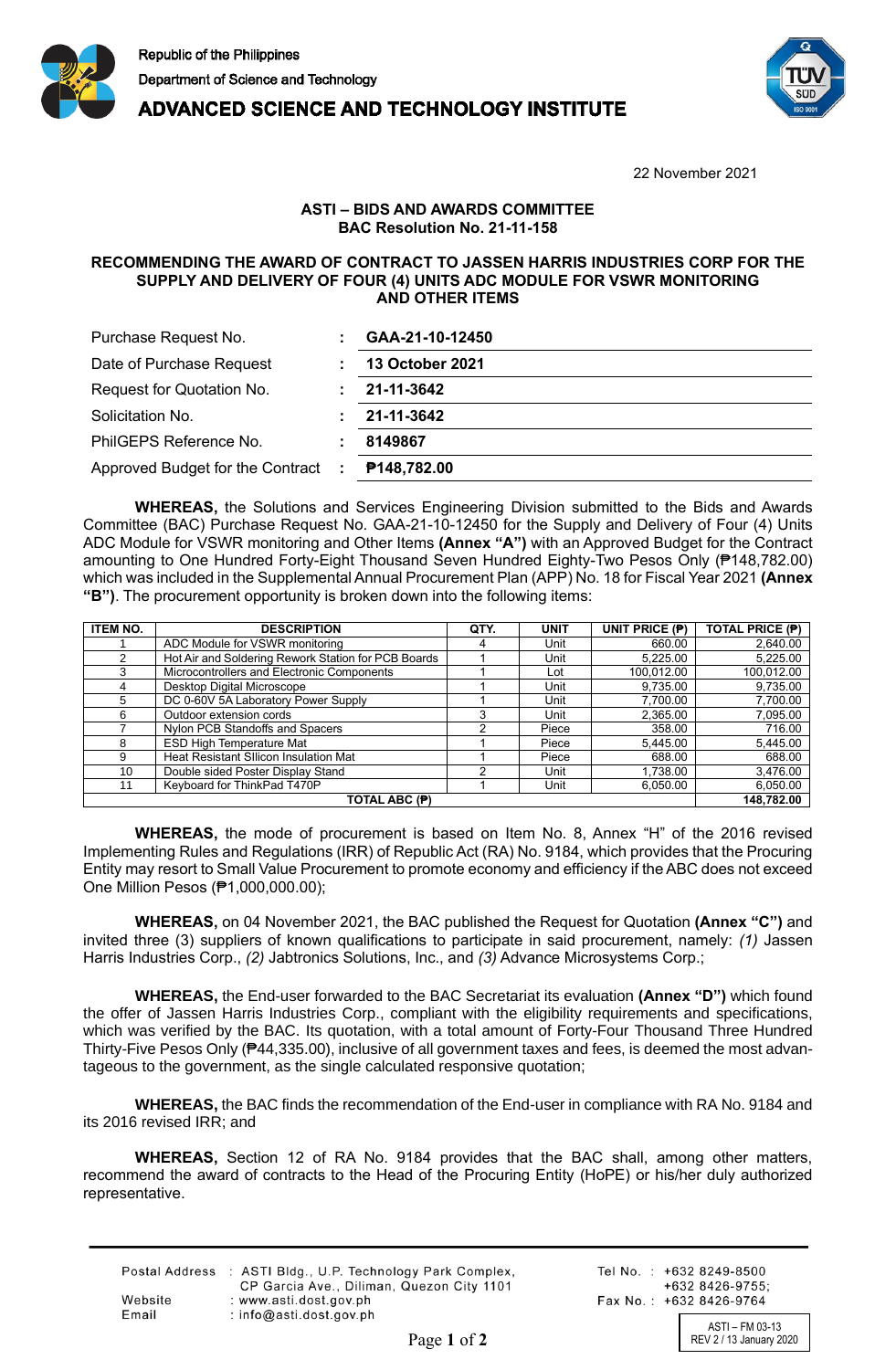

**ADVANCED SCIENCE AND TECHNOLOGY INSTITUTE** 



22 November 2021

## **ASTI – BIDS AND AWARDS COMMITTEE BAC Resolution No. 21-11-158**

## **RECOMMENDING THE AWARD OF CONTRACT TO JASSEN HARRIS INDUSTRIES CORP FOR THE SUPPLY AND DELIVERY OF FOUR (4) UNITS ADC MODULE FOR VSWR MONITORING AND OTHER ITEMS**

| Purchase Request No.                   | GAA-21-10-12450        |
|----------------------------------------|------------------------|
| Date of Purchase Request               | <b>13 October 2021</b> |
| Request for Quotation No.              | 21-11-3642             |
| Solicitation No.                       | 21-11-3642             |
| PhilGEPS Reference No.                 | 8149867                |
| Approved Budget for the Contract<br>÷. | P148,782.00            |

**WHEREAS,** the Solutions and Services Engineering Division submitted to the Bids and Awards Committee (BAC) Purchase Request No. GAA-21-10-12450 for the Supply and Delivery of Four (4) Units ADC Module for VSWR monitoring and Other Items **(Annex "A")** with an Approved Budget for the Contract amounting to One Hundred Forty-Eight Thousand Seven Hundred Eighty-Two Pesos Only (₱148,782.00) which was included in the Supplemental Annual Procurement Plan (APP) No. 18 for Fiscal Year 2021 **(Annex "B")**. The procurement opportunity is broken down into the following items:

| <b>ITEM NO.</b> | <b>DESCRIPTION</b>                                  | QTY. | <b>UNIT</b> | UNIT PRICE (P) | <b>TOTAL PRICE (P)</b> |
|-----------------|-----------------------------------------------------|------|-------------|----------------|------------------------|
|                 | ADC Module for VSWR monitoring                      |      | Unit        | 660.00         | 2,640.00               |
| 2               | Hot Air and Soldering Rework Station for PCB Boards |      | Unit        | 5,225.00       | 5,225.00               |
| 3               | Microcontrollers and Electronic Components          |      | Lot         | 100,012.00     | 100,012.00             |
|                 | Desktop Digital Microscope                          |      | Unit        | 9,735.00       | 9,735.00               |
| 5               | DC 0-60V 5A Laboratory Power Supply                 |      | Unit        | 7,700.00       | 7,700.00               |
| 6               | Outdoor extension cords                             |      | Unit        | 2,365.00       | 7,095.00               |
|                 | Nylon PCB Standoffs and Spacers                     |      | Piece       | 358.00         | 716.00                 |
| 8               | <b>ESD High Temperature Mat</b>                     |      | Piece       | 5,445.00       | 5,445.00               |
| 9               | <b>Heat Resistant Sllicon Insulation Mat</b>        |      | Piece       | 688.00         | 688.00                 |
| 10              | Double sided Poster Display Stand                   |      | Unit        | 1,738.00       | 3,476.00               |
| 11              | Keyboard for ThinkPad T470P                         |      | Unit        | 6.050.00       | 6,050.00               |
| TOTAL ABC (P)   |                                                     |      |             |                | 148.782.00             |

**WHEREAS,** the mode of procurement is based on Item No. 8, Annex "H" of the 2016 revised Implementing Rules and Regulations (IRR) of Republic Act (RA) No. 9184, which provides that the Procuring Entity may resort to Small Value Procurement to promote economy and efficiency if the ABC does not exceed One Million Pesos (₱1,000,000.00);

**WHEREAS,** on 04 November 2021, the BAC published the Request for Quotation **(Annex "C")** and invited three (3) suppliers of known qualifications to participate in said procurement, namely: *(1)* Jassen Harris Industries Corp., *(2)* Jabtronics Solutions, Inc., and *(3)* Advance Microsystems Corp.;

**WHEREAS,** the End-user forwarded to the BAC Secretariat its evaluation **(Annex "D")** which found the offer of Jassen Harris Industries Corp., compliant with the eligibility requirements and specifications, which was verified by the BAC. Its quotation, with a total amount of Forty-Four Thousand Three Hundred Thirty-Five Pesos Only (₱44,335.00), inclusive of all government taxes and fees, is deemed the most advantageous to the government, as the single calculated responsive quotation;

**WHEREAS,** the BAC finds the recommendation of the End-user in compliance with RA No. 9184 and its 2016 revised IRR; and

**WHEREAS,** Section 12 of RA No. 9184 provides that the BAC shall, among other matters, recommend the award of contracts to the Head of the Procuring Entity (HoPE) or his/her duly authorized representative.

| Postal Address : ASTI Bldg., U.P. Technology Park Complex,<br>CP Garcia Ave., Diliman, Quezon City 1101 |
|---------------------------------------------------------------------------------------------------------|
| : www.asti.dost.gov.ph                                                                                  |
| : $info@ast.dost.aov.sh$                                                                                |
|                                                                                                         |

Tel No.: +632 8249-8500  $+6328426-9755$ Fax No.: +632 8426-9764

ASTI – FM 03-13 Page 1 of 2 REV 2 / 13 January 2020